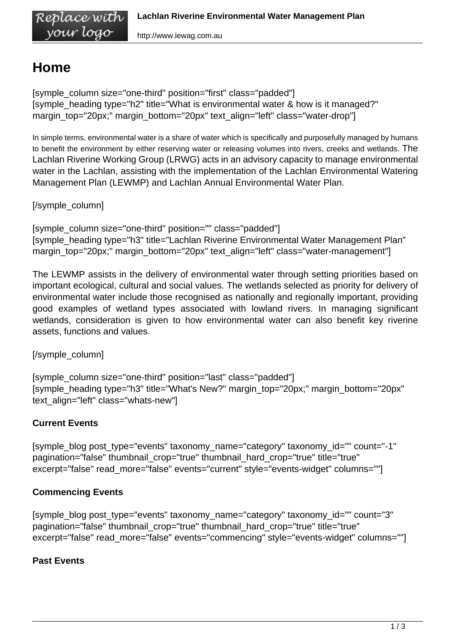## **Home**

Replace with vour logo

[symple\_column size="one-third" position="first" class="padded"] [symple\_heading type="h2" title="What is environmental water & how is it managed?" margin\_top="20px;" margin\_bottom="20px" text\_align="left" class="water-drop"]

In simple terms, environmental water is a share of water which is specifically and purposefully managed by humans to benefit the environment by either reserving water or releasing volumes into rivers, creeks and wetlands. The Lachlan Riverine Working Group (LRWG) acts in an advisory capacity to manage environmental water in the Lachlan, assisting with the implementation of the Lachlan Environmental Watering Management Plan (LEWMP) and Lachlan Annual Environmental Water Plan.

[/symple\_column]

[symple\_column size="one-third" position="" class="padded"] [symple\_heading type="h3" title="Lachlan Riverine Environmental Water Management Plan" margin\_top="20px;" margin\_bottom="20px" text\_align="left" class="water-management"]

The LEWMP assists in the delivery of environmental water through setting priorities based on important ecological, cultural and social values. The wetlands selected as priority for delivery of environmental water include those recognised as nationally and regionally important, providing good examples of wetland types associated with lowland rivers. In managing significant wetlands, consideration is given to how environmental water can also benefit key riverine assets, functions and values.

[/symple\_column]

[symple\_column size="one-third" position="last" class="padded"] [symple\_heading type="h3" title="What's New?" margin\_top="20px;" margin\_bottom="20px" text\_align="left" class="whats-new"]

## **Current Events**

[symple\_blog post\_type="events" taxonomy\_name="category" taxonomy\_id="" count="-1" pagination="false" thumbnail\_crop="true" thumbnail\_hard\_crop="true" title="true" excerpt="false" read\_more="false" events="current" style="events-widget" columns=""]

## **Commencing Events**

[symple\_blog post\_type="events" taxonomy\_name="category" taxonomy\_id="" count="3" pagination="false" thumbnail\_crop="true" thumbnail\_hard\_crop="true" title="true" excerpt="false" read\_more="false" events="commencing" style="events-widget" columns=""]

## **Past Events**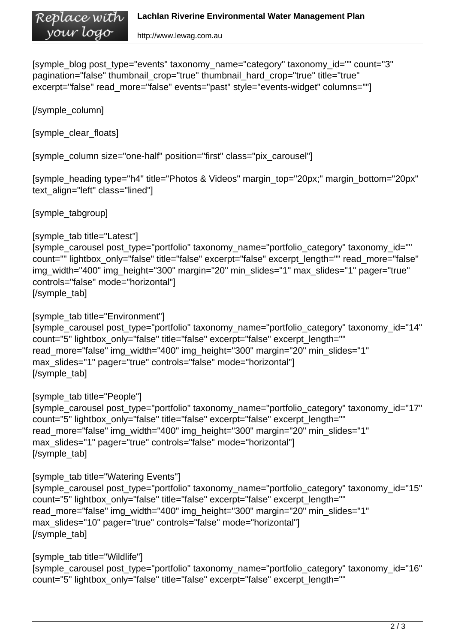[symple\_blog post\_type="events" taxonomy\_name="category" taxonomy\_id="" count="3" pagination="false" thumbnail\_crop="true" thumbnail\_hard\_crop="true" title="true" excerpt="false" read more="false" events="past" style="events-widget" columns=""]

[/symple\_column]

[symple\_clear\_floats]

[symple\_column size="one-half" position="first" class="pix\_carousel"]

```
[symple_heading type="h4" title="Photos & Videos" margin_top="20px;" margin_bottom="20px"
text_align="left" class="lined"]
```
[symple\_tabgroup]

```
[symple_tab title="Latest"]
[symple_carousel post_type="portfolio" taxonomy_name="portfolio_category" taxonomy_id=""
count="" lightbox_only="false" title="false" excerpt="false" excerpt_length="" read_more="false"
img_width="400" img_height="300" margin="20" min_slides="1" max_slides="1" pager="true"
controls="false" mode="horizontal"]
[/symple_tab]
```
[symple\_tab title="Environment"] [symple\_carousel post\_type="portfolio" taxonomy\_name="portfolio\_category" taxonomy\_id="14" count="5" lightbox\_only="false" title="false" excerpt="false" excerpt\_length="" read more="false" img\_width="400" img\_height="300" margin="20" min\_slides="1" max slides="1" pager="true" controls="false" mode="horizontal"] [/symple\_tab]

```
[symple_tab title="People"]
[symple_carousel post_type="portfolio" taxonomy_name="portfolio_category" taxonomy_id="17"
count="5" lightbox_only="false" title="false" excerpt="false" excerpt_length=""
read more="false" img_width="400" img_height="300" margin="20" min_slides="1"
max_slides="1" pager="true" controls="false" mode="horizontal"]
[/symple_tab]
```

```
[symple_tab title="Watering Events"]
[symple_carousel post_type="portfolio" taxonomy_name="portfolio_category" taxonomy_id="15"
count="5" lightbox_only="false" title="false" excerpt="false" excerpt_length=""
read_more="false" img_width="400" img_height="300" margin="20" min_slides="1"
max slides="10" pager="true" controls="false" mode="horizontal"]
[/symple_tab]
```

```
[symple_tab title="Wildlife"]
[symple_carousel post_type="portfolio" taxonomy_name="portfolio_category" taxonomy_id="16"
count="5" lightbox_only="false" title="false" excerpt="false" excerpt_length=""
```